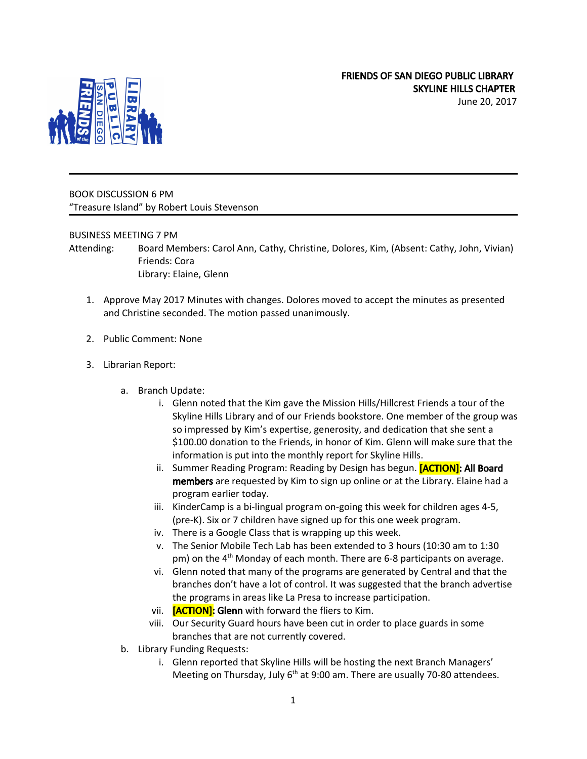June 20, 2017



BOOK DISCUSSION 6 PM "Treasure Island" by Robert Louis Stevenson

## BUSINESS MEETING 7 PM

Attending: Board Members: Carol Ann, Cathy, Christine, Dolores, Kim, (Absent: Cathy, John, Vivian) Friends: Cora Library: Elaine, Glenn

- 1. Approve May 2017 Minutes with changes. Dolores moved to accept the minutes as presented and Christine seconded. The motion passed unanimously.
- 2. Public Comment: None
- 3. Librarian Report:
	- a. Branch Update:
		- i. Glenn noted that the Kim gave the Mission Hills/Hillcrest Friends a tour of the Skyline Hills Library and of our Friends bookstore. One member of the group was so impressed by Kim's expertise, generosity, and dedication that she sent a \$100.00 donation to the Friends, in honor of Kim. Glenn will make sure that the information is put into the monthly report for Skyline Hills.
		- ii. Summer Reading Program: Reading by Design has begun. **[ACTION]: All Board** members are requested by Kim to sign up online or at the Library. Elaine had a program earlier today.
		- iii. KinderCamp is a bi-lingual program on-going this week for children ages 4-5, (pre-K). Six or 7 children have signed up for this one week program.
		- iv. There is a Google Class that is wrapping up this week.
		- v. The Senior Mobile Tech Lab has been extended to 3 hours (10:30 am to 1:30 pm) on the 4<sup>th</sup> Monday of each month. There are 6-8 participants on average.
		- vi. Glenn noted that many of the programs are generated by Central and that the branches don't have a lot of control. It was suggested that the branch advertise the programs in areas like La Presa to increase participation.
		- vii. **[ACTION]:** Glenn with forward the fliers to Kim.
		- viii. Our Security Guard hours have been cut in order to place guards in some branches that are not currently covered.
	- b. Library Funding Requests:
		- i. Glenn reported that Skyline Hills will be hosting the next Branch Managers' Meeting on Thursday, July 6<sup>th</sup> at 9:00 am. There are usually 70-80 attendees.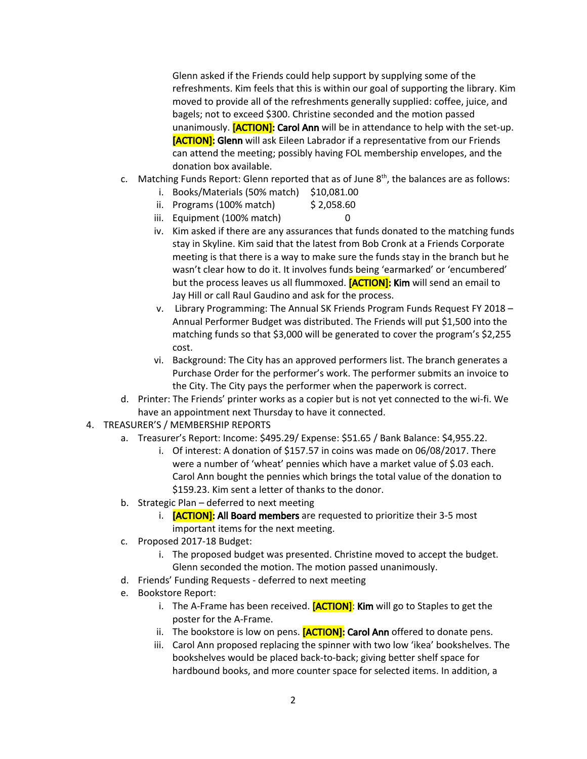Glenn asked if the Friends could help support by supplying some of the refreshments. Kim feels that this is within our goal of supporting the library. Kim moved to provide all of the refreshments generally supplied: coffee, juice, and bagels; not to exceed \$300. Christine seconded and the motion passed unanimously. **[ACTION]: Carol Ann** will be in attendance to help with the set-up. [ACTION]: Glenn will ask Eileen Labrador if a representative from our Friends can attend the meeting; possibly having FOL membership envelopes, and the donation box available.

- c. Matching Funds Report: Glenn reported that as of June  $8<sup>th</sup>$ , the balances are as follows:
	- i. Books/Materials (50% match) \$10,081.00
	- ii. Programs (100% match) \$ 2,058.60
	- iii. Equipment (100% match) 0
	- iv. Kim asked if there are any assurances that funds donated to the matching funds stay in Skyline. Kim said that the latest from Bob Cronk at a Friends Corporate meeting is that there is a way to make sure the funds stay in the branch but he wasn't clear how to do it. It involves funds being 'earmarked' or 'encumbered' but the process leaves us all flummoxed. **[ACTION]: Kim** will send an email to Jay Hill or call Raul Gaudino and ask for the process.
	- v. Library Programming: The Annual SK Friends Program Funds Request FY 2018 Annual Performer Budget was distributed. The Friends will put \$1,500 into the matching funds so that \$3,000 will be generated to cover the program's \$2,255 cost.
	- vi. Background: The City has an approved performers list. The branch generates a Purchase Order for the performer's work. The performer submits an invoice to the City. The City pays the performer when the paperwork is correct.
- d. Printer: The Friends' printer works as a copier but is not yet connected to the wi-fi. We have an appointment next Thursday to have it connected.
- 4. TREASURER'S / MEMBERSHIP REPORTS
	- a. Treasurer's Report: Income: \$495.29/ Expense: \$51.65 / Bank Balance: \$4,955.22.
		- i. Of interest: A donation of \$157.57 in coins was made on 06/08/2017. There were a number of 'wheat' pennies which have a market value of \$.03 each. Carol Ann bought the pennies which brings the total value of the donation to \$159.23. Kim sent a letter of thanks to the donor.
	- b. Strategic Plan deferred to next meeting
		- i. **[ACTION]: All Board members** are requested to prioritize their 3-5 most important items for the next meeting.
	- c. Proposed 2017-18 Budget:
		- i. The proposed budget was presented. Christine moved to accept the budget. Glenn seconded the motion. The motion passed unanimously.
	- d. Friends' Funding Requests deferred to next meeting
	- e. Bookstore Report:
		- i. The A-Frame has been received. **[ACTION]: Kim** will go to Staples to get the poster for the A-Frame.
		- ii. The bookstore is low on pens.  $[ACTION]:$  Carol Ann offered to donate pens.
		- iii. Carol Ann proposed replacing the spinner with two low 'ikea' bookshelves. The bookshelves would be placed back-to-back; giving better shelf space for hardbound books, and more counter space for selected items. In addition, a